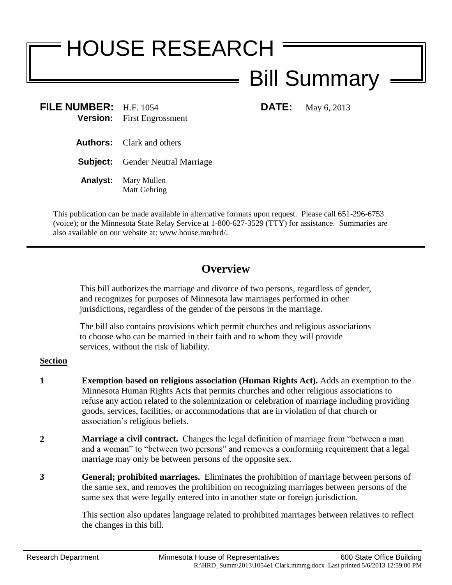# HOUSE RESEARCH

## Bill Summary

**FILE NUMBER:** H.F. 1054 **DATE:** May 6, 2013 **Version:** First Engrossment

- **Authors:** Clark and others
- **Subject:** Gender Neutral Marriage
- **Analyst:** Mary Mullen Matt Gehring

This publication can be made available in alternative formats upon request. Please call 651-296-6753 (voice); or the Minnesota State Relay Service at 1-800-627-3529 (TTY) for assistance. Summaries are also available on our website at: www.house.mn/hrd/.

### **Overview**

This bill authorizes the marriage and divorce of two persons, regardless of gender, and recognizes for purposes of Minnesota law marriages performed in other jurisdictions, regardless of the gender of the persons in the marriage.

The bill also contains provisions which permit churches and religious associations to choose who can be married in their faith and to whom they will provide services, without the risk of liability.

#### **Section**

- **1 Exemption based on religious association (Human Rights Act).** Adds an exemption to the Minnesota Human Rights Acts that permits churches and other religious associations to refuse any action related to the solemnization or celebration of marriage including providing goods, services, facilities, or accommodations that are in violation of that church or association's religious beliefs.
- **2 Marriage a civil contract.** Changes the legal definition of marriage from "between a man and a woman" to "between two persons" and removes a conforming requirement that a legal marriage may only be between persons of the opposite sex.
- **3 General; prohibited marriages.** Eliminates the prohibition of marriage between persons of the same sex, and removes the prohibition on recognizing marriages between persons of the same sex that were legally entered into in another state or foreign jurisdiction.

This section also updates language related to prohibited marriages between relatives to reflect the changes in this bill.